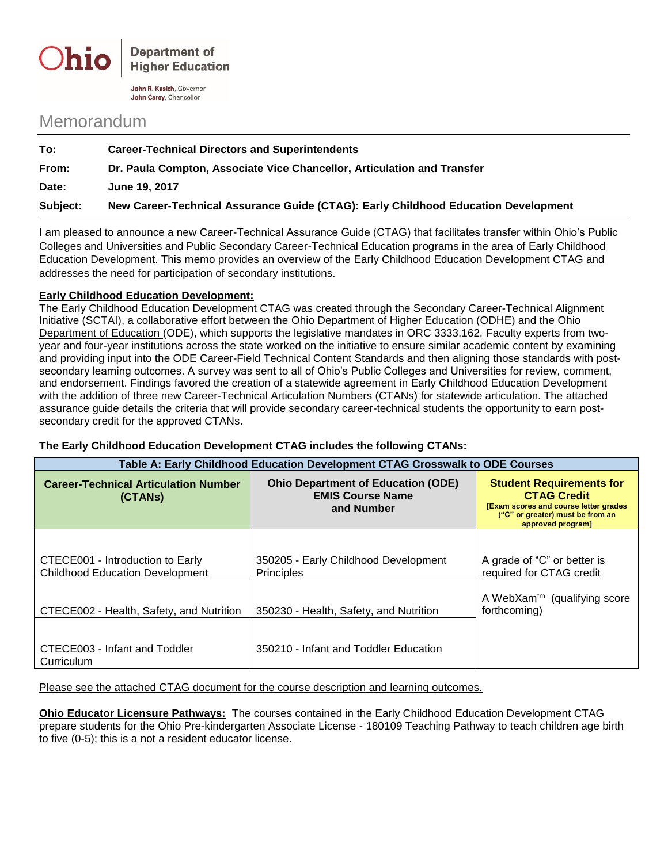

John R. Kasich, Governor John Carey, Chancellor

## Memorandum

| Subject: | New Career-Technical Assurance Guide (CTAG): Early Childhood Education Development |  |
|----------|------------------------------------------------------------------------------------|--|
| Date:    | June 19, 2017                                                                      |  |
| From:    | Dr. Paula Compton, Associate Vice Chancellor, Articulation and Transfer            |  |
| To:      | <b>Career-Technical Directors and Superintendents</b>                              |  |
|          |                                                                                    |  |

I am pleased to announce a new Career-Technical Assurance Guide (CTAG) that facilitates transfer within Ohio's Public Colleges and Universities and Public Secondary Career-Technical Education programs in the area of Early Childhood Education Development. This memo provides an overview of the Early Childhood Education Development CTAG and addresses the need for participation of secondary institutions.

## **Early Childhood Education Development:**

The Early Childhood Education Development CTAG was created through the Secondary Career-Technical Alignment Initiative (SCTAI), a collaborative effort between the Ohio Department of Higher Education (ODHE) and the Ohio Department of Education (ODE), which supports the legislative mandates in ORC 3333.162. Faculty experts from twoyear and four-year institutions across the state worked on the initiative to ensure similar academic content by examining and providing input into the ODE Career-Field Technical Content Standards and then aligning those standards with postsecondary learning outcomes. A survey was sent to all of Ohio's Public Colleges and Universities for review, comment, and endorsement. Findings favored the creation of a statewide agreement in Early Childhood Education Development with the addition of three new Career-Technical Articulation Numbers (CTANs) for statewide articulation. The attached assurance guide details the criteria that will provide secondary career-technical students the opportunity to earn postsecondary credit for the approved CTANs.

| Table A: Early Childhood Education Development CTAG Crosswalk to ODE Courses |                                                                                    |                                                                                                                                                                |  |
|------------------------------------------------------------------------------|------------------------------------------------------------------------------------|----------------------------------------------------------------------------------------------------------------------------------------------------------------|--|
| <b>Career-Technical Articulation Number</b><br>(CTANS)                       | <b>Ohio Department of Education (ODE)</b><br><b>EMIS Course Name</b><br>and Number | <b>Student Requirements for</b><br><b>CTAG Credit</b><br><b>[Exam scores and course letter grades</b><br>("C" or greater) must be from an<br>approved program] |  |
| CTECE001 - Introduction to Early<br><b>Childhood Education Development</b>   | 350205 - Early Childhood Development<br><b>Principles</b>                          | A grade of "C" or better is<br>required for CTAG credit                                                                                                        |  |
| CTECE002 - Health, Safety, and Nutrition                                     | 350230 - Health, Safety, and Nutrition                                             | A WebXam <sup>tm</sup> (qualifying score<br>forthcoming)                                                                                                       |  |
| CTECE003 - Infant and Toddler<br>Curriculum                                  | 350210 - Infant and Toddler Education                                              |                                                                                                                                                                |  |

**The Early Childhood Education Development CTAG includes the following CTANs:**

Please see the attached CTAG document for the course description and learning outcomes.

**Ohio Educator Licensure Pathways:** The courses contained in the Early Childhood Education Development CTAG prepare students for the Ohio Pre-kindergarten Associate License - 180109 Teaching Pathway to teach children age birth to five (0-5); this is a not a resident educator license.